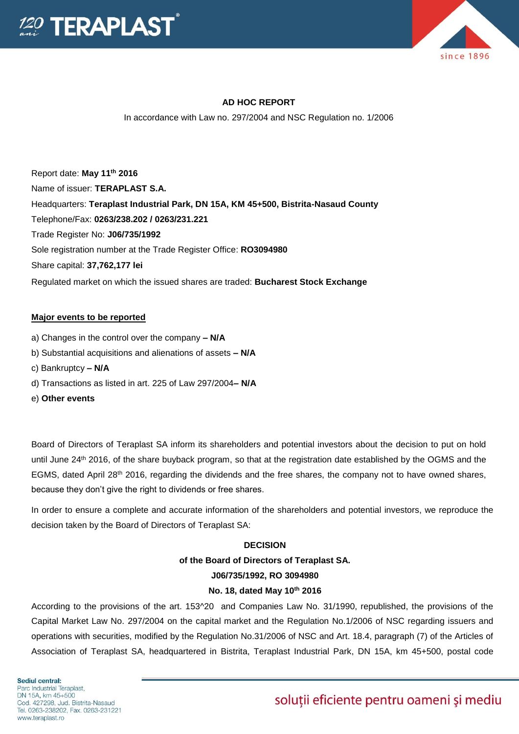



## **AD HOC REPORT**

In accordance with Law no. 297/2004 and NSC Regulation no. 1/2006

Report date: **May 11th 2016** Name of issuer: **TERAPLAST S.A.**  Headquarters: **Teraplast Industrial Park, DN 15A, KM 45+500, Bistrita-Nasaud County** Telephone/Fax: **0263/238.202 / 0263/231.221** Trade Register No: **J06/735/1992** Sole registration number at the Trade Register Office: **RO3094980** Share capital: **37,762,177 lei**  Regulated market on which the issued shares are traded: **Bucharest Stock Exchange**

#### **Major events to be reported**

- a) Changes in the control over the company **– N/A**
- b) Substantial acquisitions and alienations of assets **– N/A**
- c) Bankruptcy **– N/A**
- d) Transactions as listed in art. 225 of Law 297/2004**– N/A**
- e) **Other events**

Board of Directors of Teraplast SA inform its shareholders and potential investors about the decision to put on hold until June 24th 2016, of the share buyback program, so that at the registration date established by the OGMS and the EGMS, dated April 28<sup>th</sup> 2016, regarding the dividends and the free shares, the company not to have owned shares, because they don't give the right to dividends or free shares.

In order to ensure a complete and accurate information of the shareholders and potential investors, we reproduce the decision taken by the Board of Directors of Teraplast SA:

# **DECISION of the Board of Directors of Teraplast SA. J06/735/1992, RO 3094980**

### **No. 18, dated May 10th 2016**

According to the provisions of the art. 153^20 and Companies Law No. 31/1990, republished, the provisions of the Capital Market Law No. 297/2004 on the capital market and the Regulation No.1/2006 of NSC regarding issuers and operations with securities, modified by the Regulation No.31/2006 of NSC and Art. 18.4, paragraph (7) of the Articles of Association of Teraplast SA, headquartered in Bistrita, Teraplast Industrial Park, DN 15A, km 45+500, postal code

Sediul central: Parc Industrial Teraplast. DN 15A, km 45+500 Cod. 427298, Jud. Bistrita-Nasaud Tel. 0263-238202, Fax. 0263-231221 www.teraplast.ro

# soluții eficiente pentru oameni și mediu